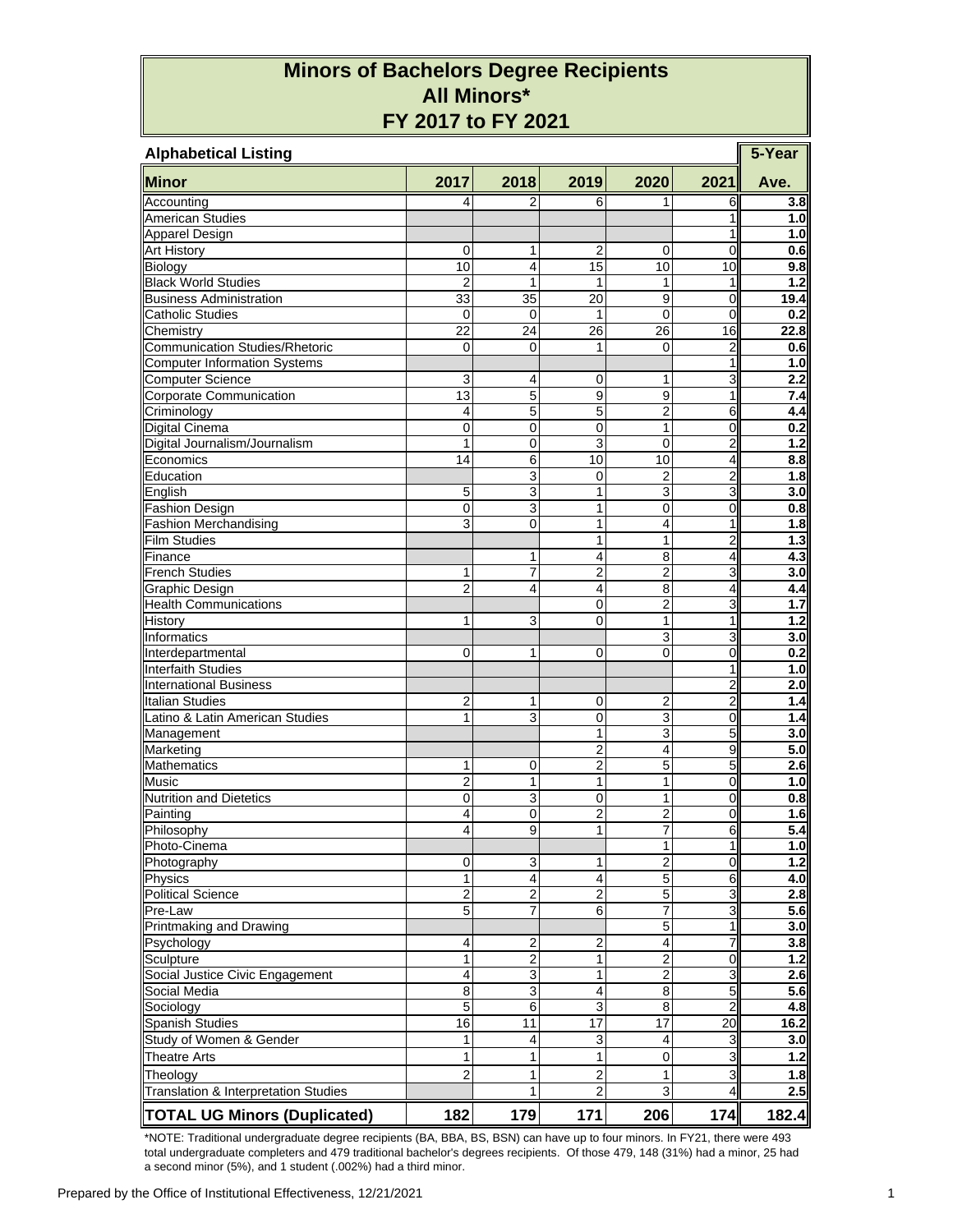## **Minors of Bachelors Degree Recipients All Minors\* FY 2017 to FY 2021**

| <b>Alphabetical Listing</b>                             |                         |                |                         |                |                                  |            |  |  |  |
|---------------------------------------------------------|-------------------------|----------------|-------------------------|----------------|----------------------------------|------------|--|--|--|
| <b>Minor</b>                                            | 2017                    | 2018           | 2019                    | 2020           | 2021                             | Ave.       |  |  |  |
| Accounting                                              | 4                       | $\overline{2}$ | 6                       | 1              | 6                                | 3.8        |  |  |  |
| <b>American Studies</b>                                 |                         |                |                         |                | 1                                | 1.0        |  |  |  |
| <b>Apparel Design</b>                                   |                         |                |                         |                | 1                                | 1.0        |  |  |  |
| <b>Art History</b>                                      | $\mathbf 0$             | 1              | 2                       | 0              | 0                                | 0.6        |  |  |  |
| Biology                                                 | 10                      | $\overline{4}$ | 15                      | 10             | 10                               | 9.8        |  |  |  |
| <b>Black World Studies</b>                              | $\overline{2}$          | $\mathbf{1}$   | 1                       | 1              | 1                                | 1.2        |  |  |  |
| <b>Business Administration</b>                          | 33                      | 35             | 20                      | 9              | $\overline{0}$                   | 19.4       |  |  |  |
| <b>Catholic Studies</b>                                 | $\mathbf 0$             | $\mathbf 0$    | 1                       | $\mathbf 0$    | $\overline{0}$                   | 0.2        |  |  |  |
| Chemistry                                               | 22                      | 24             | 26                      | 26             | 16                               | 22.8       |  |  |  |
| <b>Communication Studies/Rhetoric</b>                   | 0                       | 0              | 1                       | $\mathbf 0$    | $\overline{2}$                   | 0.6        |  |  |  |
| <b>Computer Information Systems</b>                     |                         |                |                         |                | 1                                | 1.0        |  |  |  |
| <b>Computer Science</b>                                 | 3                       | 4              | 0                       | 1              | 3                                | 2.2        |  |  |  |
| Corporate Communication                                 | 13                      | 5              | 9                       | 9              | 1                                | 7.4        |  |  |  |
| Criminology                                             | 4                       | $\overline{5}$ | 5                       | $\overline{2}$ | 6                                | 4.4        |  |  |  |
| <b>Digital Cinema</b>                                   | 0                       | $\mathbf 0$    | 0                       | 1              | 0                                | 0.2        |  |  |  |
| Digital Journalism/Journalism                           | 1                       | $\mathbf 0$    | 3                       | $\mathbf 0$    | $\overline{c}$                   | 1.2        |  |  |  |
| Economics                                               | 14                      | $\,6$          | 10                      | 10             | $\overline{\mathbf{4}}$          | 8.8        |  |  |  |
| Education                                               |                         | $\overline{3}$ | 0                       | $\overline{2}$ | $\overline{2}$                   | 1.8        |  |  |  |
| English                                                 | 5                       | 3              | 1                       | 3              | 3                                | 3.0        |  |  |  |
| <b>Fashion Design</b>                                   | $\mathbf 0$             | 3              | 1                       | 0              | 0                                | 0.8        |  |  |  |
| <b>Fashion Merchandising</b>                            | 3                       | $\mathbf 0$    | 1                       | 4              | 1                                | 1.8        |  |  |  |
| <b>Film Studies</b>                                     |                         |                | 1                       | 1              | $\overline{\mathbf{c}}$          | 1.3        |  |  |  |
| Finance                                                 |                         | 1              | 4                       | 8              | 4                                | 4.3        |  |  |  |
| <b>French Studies</b>                                   | 1                       | 7              | $\overline{2}$          | $\overline{2}$ | 3                                | 3.0        |  |  |  |
| Graphic Design                                          | $\overline{2}$          | 4              | 4                       | 8              | 4                                | 4.4        |  |  |  |
| <b>Health Communications</b>                            |                         |                | 0                       | $\overline{c}$ | 3                                | 1.7        |  |  |  |
| History                                                 | 1                       | 3              | 0                       | 1              | $\mathbf{1}$                     | 1.2        |  |  |  |
| Informatics                                             |                         |                |                         | 3              | $\overline{3}$                   | 3.0        |  |  |  |
| Interdepartmental                                       | 0                       | 1              | 0                       | 0              | 0                                | 0.2        |  |  |  |
| <b>Interfaith Studies</b>                               |                         |                |                         |                | 1                                | 1.0        |  |  |  |
| <b>International Business</b><br><b>Italian Studies</b> | $\overline{2}$          | 1              |                         |                | $\overline{c}$<br>$\overline{2}$ | 2.0<br>1.4 |  |  |  |
| Latino & Latin American Studies                         | 1                       | 3              | 0<br>0                  | 2              | 0                                | 1.4        |  |  |  |
|                                                         |                         |                | 1                       | 3<br>3         | 5                                | 3.0        |  |  |  |
| Management<br>Marketing                                 |                         |                | 2                       | 4              | 9                                | 5.0        |  |  |  |
| <b>Mathematics</b>                                      | 1                       | 0              | $\overline{2}$          | 5              | 5                                | 2.6        |  |  |  |
| <b>Music</b>                                            | 2                       | 1              | 1                       | $\mathbf{1}$   | $\overline{0}$                   | 1.0        |  |  |  |
| <b>Nutrition and Dietetics</b>                          | $\mathbf 0$             | 3              | 0                       | 1              | $\overline{0}$                   | 0.8        |  |  |  |
| Painting                                                | 4                       | $\mathbf 0$    | $\overline{2}$          | $\overline{2}$ | 0                                | 1.6        |  |  |  |
| Philosophy                                              | 4                       | 9              | $\mathbf{1}$            | 7              | 6                                | 5.4        |  |  |  |
| Photo-Cinema                                            |                         |                |                         | 1              | $\mathbf{1}$                     | 1.0        |  |  |  |
| Photography                                             | $\pmb{0}$               | 3              | 1                       | $\overline{2}$ | 0                                | 1.2        |  |  |  |
| Physics                                                 | 1                       | $\overline{4}$ | $\overline{\mathbf{4}}$ | 5              | 6                                | 4.0        |  |  |  |
| <b>Political Science</b>                                | 2                       | $\overline{c}$ | $\overline{2}$          | 5              | 3                                | 2.8        |  |  |  |
| Pre-Law                                                 | $\overline{5}$          | 7              | 6                       | 7              | $\overline{3}$                   | 5.6        |  |  |  |
| Printmaking and Drawing                                 |                         |                |                         | 5              | $\mathbf{1}$                     | 3.0        |  |  |  |
| Psychology                                              | 4                       | $\overline{2}$ | $\overline{2}$          | 4              | 7                                | 3.8        |  |  |  |
| Sculpture                                               | 1                       | $\overline{2}$ | $\mathbf{1}$            | $\overline{2}$ | $\overline{0}$                   | 1.2        |  |  |  |
| Social Justice Civic Engagement                         | $\overline{\mathbf{4}}$ | 3              | 1                       | $\overline{c}$ | $\overline{3}$                   | 2.6        |  |  |  |
| Social Media                                            | $\overline{8}$          | $\overline{3}$ | $\overline{\mathbf{4}}$ | $\overline{8}$ | $\overline{5}$                   | 5.6        |  |  |  |
| Sociology                                               | 5                       | 6              | $\overline{3}$          | 8              | $\overline{a}$                   | 4.8        |  |  |  |
| <b>Spanish Studies</b>                                  | 16                      | 11             | 17                      | 17             | $\overline{20}$                  | 16.2       |  |  |  |
| Study of Women & Gender                                 | 1                       | 4              | 3                       | 4              | 3                                | 3.0        |  |  |  |
| <b>Theatre Arts</b>                                     | $\mathbf{1}$            | 1              | $\mathbf{1}$            | 0              | 3                                | $1.2$      |  |  |  |
| Theology                                                | $\overline{c}$          | 1              | 2                       | 1              | 3                                | 1.8        |  |  |  |
| Translation & Interpretation Studies                    |                         | $\mathbf{1}$   | $\overline{2}$          | 3              | 4                                | 2.5        |  |  |  |
|                                                         |                         |                |                         |                |                                  |            |  |  |  |
| <b>TOTAL UG Minors (Duplicated)</b>                     | 182                     | 179            | 171                     | 206            | 174                              | 182.4      |  |  |  |

\*NOTE: Traditional undergraduate degree recipients (BA, BBA, BS, BSN) can have up to four minors. In FY21, there were 493 total undergraduate completers and 479 traditional bachelor's degrees recipients. Of those 479, 148 (31%) had a minor, 25 had a second minor (5%), and 1 student (.002%) had a third minor.